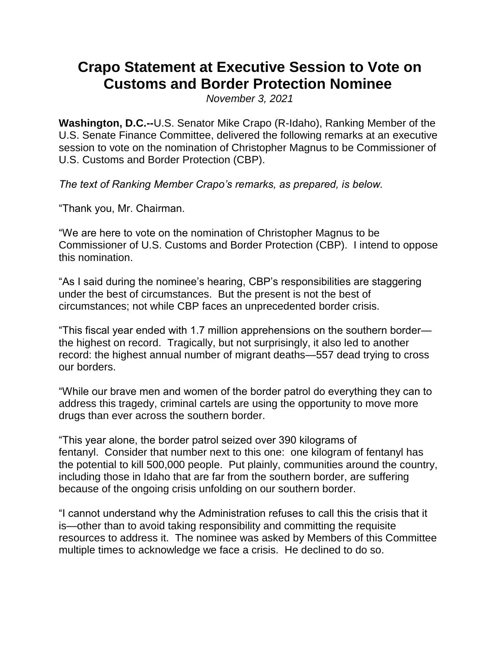## **Crapo Statement at Executive Session to Vote on Customs and Border Protection Nominee**

*November 3, 2021*

**Washington, D.C.--**U.S. Senator Mike Crapo (R-Idaho), Ranking Member of the U.S. Senate Finance Committee, delivered the following remarks at an executive session to vote on the nomination of Christopher Magnus to be Commissioner of U.S. Customs and Border Protection (CBP).

*The text of Ranking Member Crapo's remarks, as prepared, is below.* 

"Thank you, Mr. Chairman.

"We are here to vote on the nomination of Christopher Magnus to be Commissioner of U.S. Customs and Border Protection (CBP). I intend to oppose this nomination.

"As I said during the nominee's hearing, CBP's responsibilities are staggering under the best of circumstances. But the present is not the best of circumstances; not while CBP faces an unprecedented border crisis.

"This fiscal year ended with 1.7 million apprehensions on the southern border the highest on record. Tragically, but not surprisingly, it also led to another record: the highest annual number of migrant deaths—557 dead trying to cross our borders.

"While our brave men and women of the border patrol do everything they can to address this tragedy, criminal cartels are using the opportunity to move more drugs than ever across the southern border.

"This year alone, the border patrol seized over 390 kilograms of fentanyl. Consider that number next to this one: one kilogram of fentanyl has the potential to kill 500,000 people. Put plainly, communities around the country, including those in Idaho that are far from the southern border, are suffering because of the ongoing crisis unfolding on our southern border.

"I cannot understand why the Administration refuses to call this the crisis that it is—other than to avoid taking responsibility and committing the requisite resources to address it. The nominee was asked by Members of this Committee multiple times to acknowledge we face a crisis. He declined to do so.